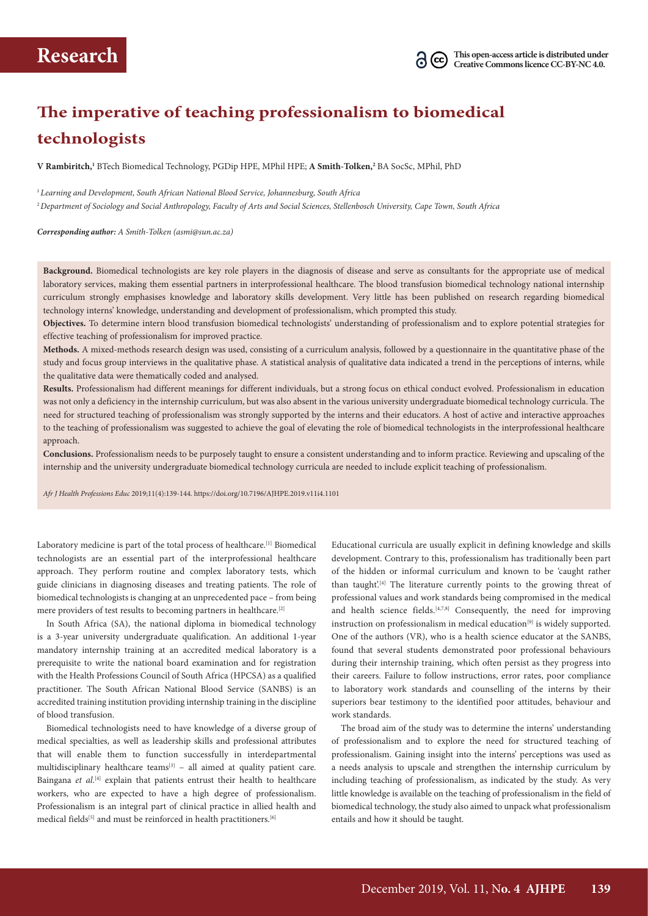# **The imperative of teaching professionalism to biomedical technologists**

**V Rambiritch,1** BTech Biomedical Technology, PGDip HPE, MPhil HPE; **A Smith-Tolken,2** BA SocSc, MPhil, PhD

<sup>1</sup>*Learning and Development, South African National Blood Service, Johannesburg, South Africa*

<sup>2</sup>*Department of Sociology and Social Anthropology, Faculty of Arts and Social Sciences, Stellenbosch University, Cape Town, South Africa*

*Corresponding author: A Smith-Tolken (asmi@sun.ac.za)*

**Background.** Biomedical technologists are key role players in the diagnosis of disease and serve as consultants for the appropriate use of medical laboratory services, making them essential partners in interprofessional healthcare. The blood transfusion biomedical technology national internship curriculum strongly emphasises knowledge and laboratory skills development. Very little has been published on research regarding biomedical technology interns' knowledge, understanding and development of professionalism, which prompted this study.

**Objectives.** To determine intern blood transfusion biomedical technologists' understanding of professionalism and to explore potential strategies for effective teaching of professionalism for improved practice.

**Methods.** A mixed-methods research design was used, consisting of a curriculum analysis, followed by a questionnaire in the quantitative phase of the study and focus group interviews in the qualitative phase. A statistical analysis of qualitative data indicated a trend in the perceptions of interns, while the qualitative data were thematically coded and analysed.

**Results.** Professionalism had different meanings for different individuals, but a strong focus on ethical conduct evolved. Professionalism in education was not only a deficiency in the internship curriculum, but was also absent in the various university undergraduate biomedical technology curricula. The need for structured teaching of professionalism was strongly supported by the interns and their educators. A host of active and interactive approaches to the teaching of professionalism was suggested to achieve the goal of elevating the role of biomedical technologists in the interprofessional healthcare approach.

**Conclusions.** Professionalism needs to be purposely taught to ensure a consistent understanding and to inform practice. Reviewing and upscaling of the internship and the university undergraduate biomedical technology curricula are needed to include explicit teaching of professionalism.

*Afr J Health Professions Educ* 2019;11(4):139-144. https://doi.org/10.7196/AJHPE.2019.v11i4.1101

Laboratory medicine is part of the total process of healthcare.<sup>[1]</sup> Biomedical technologists are an essential part of the interprofessional healthcare approach. They perform routine and complex laboratory tests, which guide clinicians in diagnosing diseases and treating patients. The role of biomedical technologists is changing at an unprecedented pace – from being mere providers of test results to becoming partners in healthcare.[2]

In South Africa (SA), the national diploma in biomedical technology is a 3-year university undergraduate qualification. An additional 1-year mandatory internship training at an accredited medical laboratory is a prerequisite to write the national board examination and for registration with the Health Professions Council of South Africa (HPCSA) as a qualified practitioner. The South African National Blood Service (SANBS) is an accredited training institution providing internship training in the discipline of blood transfusion.

Biomedical technologists need to have knowledge of a diverse group of medical specialties, as well as leadership skills and professional attributes that will enable them to function successfully in interdepartmental multidisciplinary healthcare teams<sup>[3]</sup> – all aimed at quality patient care. Baingana *et al*. [4] explain that patients entrust their health to healthcare workers, who are expected to have a high degree of professionalism. Professionalism is an integral part of clinical practice in allied health and medical fields<sup>[5]</sup> and must be reinforced in health practitioners.<sup>[6]</sup>

Educational curricula are usually explicit in defining knowledge and skills development. Contrary to this, professionalism has traditionally been part of the hidden or informal curriculum and known to be 'caught rather than taught'.<sup>[4]</sup> The literature currently points to the growing threat of professional values and work standards being compromised in the medical and health science fields.<sup>[4,7,8]</sup> Consequently, the need for improving instruction on professionalism in medical education<sup>[9]</sup> is widely supported. One of the authors (VR), who is a health science educator at the SANBS, found that several students demonstrated poor professional behaviours during their internship training, which often persist as they progress into their careers. Failure to follow instructions, error rates, poor compliance to laboratory work standards and counselling of the interns by their superiors bear testimony to the identified poor attitudes, behaviour and work standards.

The broad aim of the study was to determine the interns' understanding of professionalism and to explore the need for structured teaching of professionalism. Gaining insight into the interns' perceptions was used as a needs analysis to upscale and strengthen the internship curriculum by including teaching of professionalism, as indicated by the study. As very little knowledge is available on the teaching of professionalism in the field of biomedical technology, the study also aimed to unpack what professionalism entails and how it should be taught.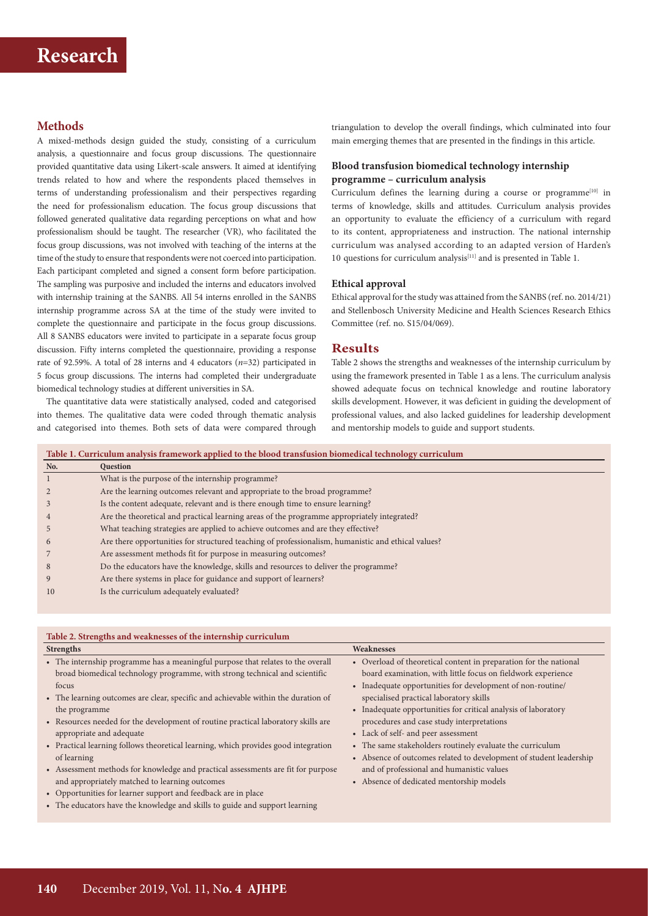## **Methods**

A mixed-methods design guided the study, consisting of a curriculum analysis, a questionnaire and focus group discussions. The questionnaire provided quantitative data using Likert-scale answers. It aimed at identifying trends related to how and where the respondents placed themselves in terms of understanding professionalism and their perspectives regarding the need for professionalism education. The focus group discussions that followed generated qualitative data regarding perceptions on what and how professionalism should be taught. The researcher (VR), who facilitated the focus group discussions, was not involved with teaching of the interns at the time of the study to ensure that respondents were not coerced into participation. Each participant completed and signed a consent form before participation. The sampling was purposive and included the interns and educators involved with internship training at the SANBS. All 54 interns enrolled in the SANBS internship programme across SA at the time of the study were invited to complete the questionnaire and participate in the focus group discussions. All 8 SANBS educators were invited to participate in a separate focus group discussion. Fifty interns completed the questionnaire, providing a response rate of 92.59%. A total of 28 interns and 4 educators (*n*=32) participated in 5 focus group discussions. The interns had completed their undergraduate biomedical technology studies at different universities in SA.

The quantitative data were statistically analysed, coded and categorised into themes. The qualitative data were coded through thematic analysis and categorised into themes. Both sets of data were compared through triangulation to develop the overall findings, which culminated into four main emerging themes that are presented in the findings in this article.

### **Blood transfusion biomedical technology internship programme – curriculum analysis**

Curriculum defines the learning during a course or programme<sup>[10]</sup> in terms of knowledge, skills and attitudes. Curriculum analysis provides an opportunity to evaluate the efficiency of a curriculum with regard to its content, appropriateness and instruction. The national internship curriculum was analysed according to an adapted version of Harden's 10 questions for curriculum analysis<sup>[11]</sup> and is presented in Table 1.

#### **Ethical approval**

Ethical approval for the study was attained from the SANBS (ref. no. 2014/21) and Stellenbosch University Medicine and Health Sciences Research Ethics Committee (ref. no. S15/04/069).

### **Results**

Table 2 shows the strengths and weaknesses of the internship curriculum by using the framework presented in Table 1 as a lens. The curriculum analysis showed adequate focus on technical knowledge and routine laboratory skills development. However, it was deficient in guiding the development of professional values, and also lacked guidelines for leadership development and mentorship models to guide and support students.

| Table 1. Curriculum analysis framework applied to the blood transfusion biomedical technology curriculum |  |  |
|----------------------------------------------------------------------------------------------------------|--|--|
|                                                                                                          |  |  |

| No.      | Question                                                                                           |
|----------|----------------------------------------------------------------------------------------------------|
|          | What is the purpose of the internship programme?                                                   |
|          | Are the learning outcomes relevant and appropriate to the broad programme?                         |
|          | Is the content adequate, relevant and is there enough time to ensure learning?                     |
|          | Are the theoretical and practical learning areas of the programme appropriately integrated?        |
|          | What teaching strategies are applied to achieve outcomes and are they effective?                   |
| $\sigma$ | Are there opportunities for structured teaching of professionalism, humanistic and ethical values? |
|          | Are assessment methods fit for purpose in measuring outcomes?                                      |
| 8        | Do the educators have the knowledge, skills and resources to deliver the programme?                |
|          | Are there systems in place for guidance and support of learners?                                   |
| 10       | Is the curriculum adequately evaluated?                                                            |
|          |                                                                                                    |

### **Table 2. Strengths and weaknesses of the internship curriculum**

| <b>Strengths</b>                                                                   | Weaknesses                                                         |
|------------------------------------------------------------------------------------|--------------------------------------------------------------------|
| • The internship programme has a meaningful purpose that relates to the overall    | • Overload of theoretical content in preparation for the national  |
| broad biomedical technology programme, with strong technical and scientific        | board examination, with little focus on fieldwork experience       |
| focus                                                                              | • Inadequate opportunities for development of non-routine/         |
| • The learning outcomes are clear, specific and achievable within the duration of  | specialised practical laboratory skills                            |
| the programme                                                                      | • Inadequate opportunities for critical analysis of laboratory     |
| • Resources needed for the development of routine practical laboratory skills are  | procedures and case study interpretations                          |
| appropriate and adequate                                                           | • Lack of self- and peer assessment                                |
| • Practical learning follows theoretical learning, which provides good integration | • The same stakeholders routinely evaluate the curriculum          |
| of learning                                                                        | • Absence of outcomes related to development of student leadership |
| • Assessment methods for knowledge and practical assessments are fit for purpose   | and of professional and humanistic values                          |
| and appropriately matched to learning outcomes                                     | • Absence of dedicated mentorship models                           |
|                                                                                    |                                                                    |

- Opportunities for learner support and feedback are in place
- The educators have the knowledge and skills to guide and support learning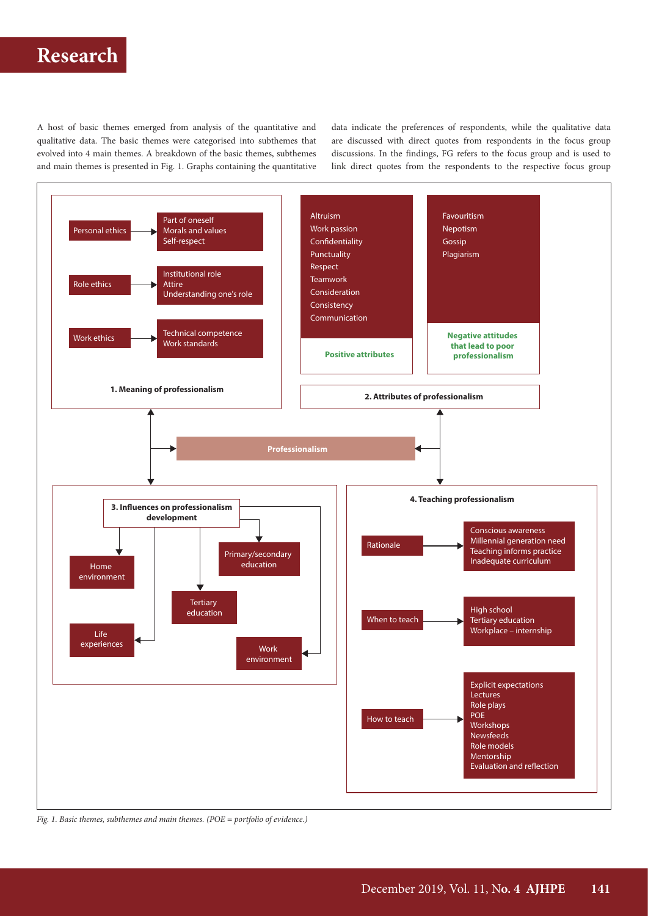A host of basic themes emerged from analysis of the quantitative and qualitative data. The basic themes were categorised into subthemes that evolved into 4 main themes. A breakdown of the basic themes, subthemes and main themes is presented in Fig. 1. Graphs containing the quantitative data indicate the preferences of respondents, while the qualitative data are discussed with direct quotes from respondents in the focus group discussions. In the findings, FG refers to the focus group and is used to link direct quotes from the respondents to the respective focus group



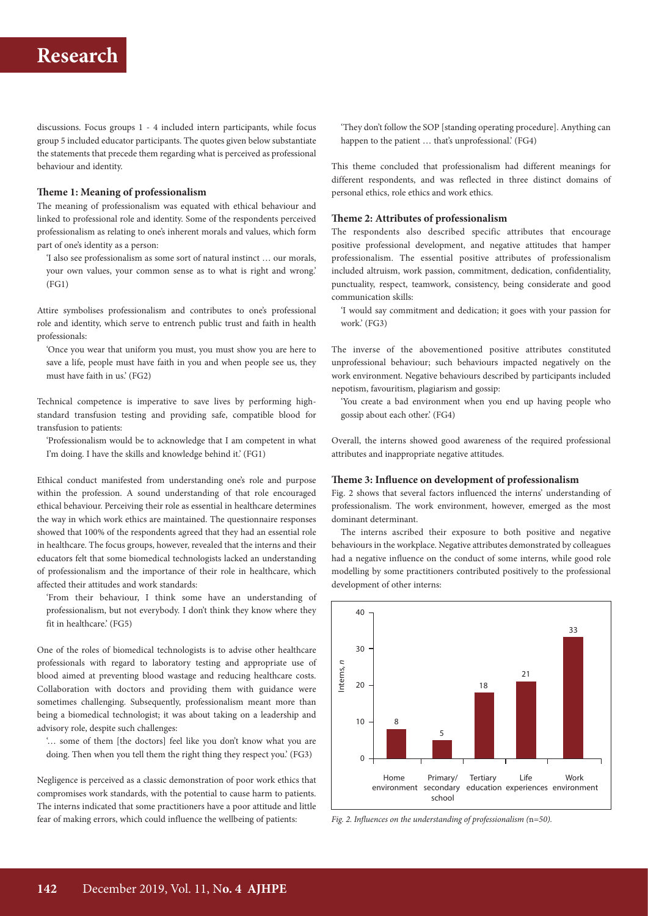discussions. Focus groups 1 - 4 included intern participants, while focus group 5 included educator participants. The quotes given below substantiate the statements that precede them regarding what is perceived as professional behaviour and identity.

#### **Theme 1: Meaning of professionalism**

The meaning of professionalism was equated with ethical behaviour and linked to professional role and identity. Some of the respondents perceived professionalism as relating to one's inherent morals and values, which form part of one's identity as a person:

'I also see professionalism as some sort of natural instinct … our morals, your own values, your common sense as to what is right and wrong.' (FG1)

Attire symbolises professionalism and contributes to one's professional role and identity, which serve to entrench public trust and faith in health professionals:

'Once you wear that uniform you must, you must show you are here to save a life, people must have faith in you and when people see us, they must have faith in us.' (FG2)

Technical competence is imperative to save lives by performing highstandard transfusion testing and providing safe, compatible blood for transfusion to patients:

'Professionalism would be to acknowledge that I am competent in what I'm doing. I have the skills and knowledge behind it.' (FG1)

Ethical conduct manifested from understanding one's role and purpose within the profession. A sound understanding of that role encouraged ethical behaviour. Perceiving their role as essential in healthcare determines the way in which work ethics are maintained. The questionnaire responses showed that 100% of the respondents agreed that they had an essential role in healthcare. The focus groups, however, revealed that the interns and their educators felt that some biomedical technologists lacked an understanding of professionalism and the importance of their role in healthcare, which affected their attitudes and work standards:

'From their behaviour, I think some have an understanding of professionalism, but not everybody. I don't think they know where they fit in healthcare.' (FG5)

One of the roles of biomedical technologists is to advise other healthcare professionals with regard to laboratory testing and appropriate use of blood aimed at preventing blood wastage and reducing healthcare costs. Collaboration with doctors and providing them with guidance were sometimes challenging. Subsequently, professionalism meant more than being a biomedical technologist; it was about taking on a leadership and advisory role, despite such challenges:

'… some of them [the doctors] feel like you don't know what you are doing. Then when you tell them the right thing they respect you.' (FG3)

Negligence is perceived as a classic demonstration of poor work ethics that compromises work standards, with the potential to cause harm to patients. The interns indicated that some practitioners have a poor attitude and little fear of making errors, which could influence the wellbeing of patients:

'They don't follow the SOP [standing operating procedure]. Anything can happen to the patient ... that's unprofessional.' (FG4)

This theme concluded that professionalism had different meanings for different respondents, and was reflected in three distinct domains of personal ethics, role ethics and work ethics.

#### **Theme 2: Attributes of professionalism**

The respondents also described specific attributes that encourage positive professional development, and negative attitudes that hamper professionalism. The essential positive attributes of professionalism included altruism, work passion, commitment, dedication, confidentiality, punctuality, respect, teamwork, consistency, being considerate and good communication skills:

'I would say commitment and dedication; it goes with your passion for work.' (FG3)

The inverse of the abovementioned positive attributes constituted unprofessional behaviour; such behaviours impacted negatively on the work environment. Negative behaviours described by participants included nepotism, favouritism, plagiarism and gossip:

'You create a bad environment when you end up having people who gossip about each other.' (FG4)

Overall, the interns showed good awareness of the required professional attributes and inappropriate negative attitudes.

#### **Theme 3: Influence on development of professionalism**

Fig. 2 shows that several factors influenced the interns' understanding of professionalism. The work environment, however, emerged as the most dominant determinant.

The interns ascribed their exposure to both positive and negative behaviours in the workplace. Negative attributes demonstrated by colleagues had a negative influence on the conduct of some interns, while good role modelling by some practitioners contributed positively to the professional development of other interns:



*Fig. 2. Influences on the understanding of professionalism (*n*=50).*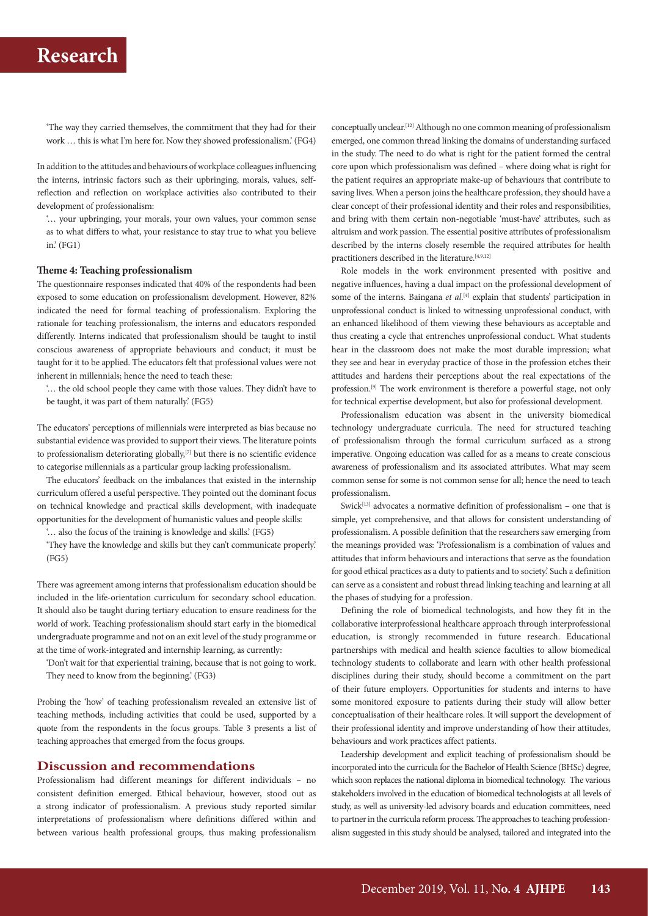'The way they carried themselves, the commitment that they had for their work … this is what I'm here for. Now they showed professionalism.' (FG4)

In addition to the attitudes and behaviours of workplace colleagues influencing the interns, intrinsic factors such as their upbringing, morals, values, selfreflection and reflection on workplace activities also contributed to their development of professionalism:

'… your upbringing, your morals, your own values, your common sense as to what differs to what, your resistance to stay true to what you believe in.' (FG1)

#### **Theme 4: Teaching professionalism**

The questionnaire responses indicated that 40% of the respondents had been exposed to some education on professionalism development. However, 82% indicated the need for formal teaching of professionalism. Exploring the rationale for teaching professionalism, the interns and educators responded differently. Interns indicated that professionalism should be taught to instil conscious awareness of appropriate behaviours and conduct; it must be taught for it to be applied. The educators felt that professional values were not inherent in millennials; hence the need to teach these:

'… the old school people they came with those values. They didn't have to be taught, it was part of them naturally.' (FG5)

The educators' perceptions of millennials were interpreted as bias because no substantial evidence was provided to support their views. The literature points to professionalism deteriorating globally,[7] but there is no scientific evidence to categorise millennials as a particular group lacking professionalism.

The educators' feedback on the imbalances that existed in the internship curriculum offered a useful perspective. They pointed out the dominant focus on technical knowledge and practical skills development, with inadequate opportunities for the development of humanistic values and people skills:

'… also the focus of the training is knowledge and skills.' (FG5)

'They have the knowledge and skills but they can't communicate properly.' (FG5)

There was agreement among interns that professionalism education should be included in the life-orientation curriculum for secondary school education. It should also be taught during tertiary education to ensure readiness for the world of work. Teaching professionalism should start early in the biomedical undergraduate programme and not on an exit level of the study programme or at the time of work-integrated and internship learning, as currently:

'Don't wait for that experiential training, because that is not going to work. They need to know from the beginning.' (FG3)

Probing the 'how' of teaching professionalism revealed an extensive list of teaching methods, including activities that could be used, supported by a quote from the respondents in the focus groups. Table 3 presents a list of teaching approaches that emerged from the focus groups.

### **Discussion and recommendations**

Professionalism had different meanings for different individuals – no consistent definition emerged. Ethical behaviour, however, stood out as a strong indicator of professionalism. A previous study reported similar interpretations of professionalism where definitions differed within and between various health professional groups, thus making professionalism conceptually unclear.[12] Although no one common meaning of professionalism emerged, one common thread linking the domains of understanding surfaced in the study. The need to do what is right for the patient formed the central core upon which professionalism was defined – where doing what is right for the patient requires an appropriate make-up of behaviours that contribute to saving lives. When a person joins the healthcare profession, they should have a clear concept of their professional identity and their roles and responsibilities, and bring with them certain non-negotiable 'must-have' attributes, such as altruism and work passion. The essential positive attributes of professionalism described by the interns closely resemble the required attributes for health practitioners described in the literature.<sup>[4,9,12]</sup>

Role models in the work environment presented with positive and negative influences, having a dual impact on the professional development of some of the interns. Baingana et al.<sup>[4]</sup> explain that students' participation in unprofessional conduct is linked to witnessing unprofessional conduct, with an enhanced likelihood of them viewing these behaviours as acceptable and thus creating a cycle that entrenches unprofessional conduct. What students hear in the classroom does not make the most durable impression; what they see and hear in everyday practice of those in the profession etches their attitudes and hardens their perceptions about the real expectations of the profession.[9] The work environment is therefore a powerful stage, not only for technical expertise development, but also for professional development.

Professionalism education was absent in the university biomedical technology undergraduate curricula. The need for structured teaching of professionalism through the formal curriculum surfaced as a strong imperative. Ongoing education was called for as a means to create conscious awareness of professionalism and its associated attributes. What may seem common sense for some is not common sense for all; hence the need to teach professionalism.

Swick<sup>[13]</sup> advocates a normative definition of professionalism – one that is simple, yet comprehensive, and that allows for consistent understanding of professionalism. A possible definition that the researchers saw emerging from the meanings provided was: 'Professionalism is a combination of values and attitudes that inform behaviours and interactions that serve as the foundation for good ethical practices as a duty to patients and to society.' Such a definition can serve as a consistent and robust thread linking teaching and learning at all the phases of studying for a profession.

Defining the role of biomedical technologists, and how they fit in the collaborative interprofessional healthcare approach through interprofessional education, is strongly recommended in future research. Educational partnerships with medical and health science faculties to allow biomedical technology students to collaborate and learn with other health professional disciplines during their study, should become a commitment on the part of their future employers. Opportunities for students and interns to have some monitored exposure to patients during their study will allow better conceptualisation of their healthcare roles. It will support the development of their professional identity and improve understanding of how their attitudes, behaviours and work practices affect patients.

Leadership development and explicit teaching of professionalism should be incorporated into the curricula for the Bachelor of Health Science (BHSc) degree, which soon replaces the national diploma in biomedical technology. The various stakeholders involved in the education of biomedical technologists at all levels of study, as well as university-led advisory boards and education committees, need to partner in the curricula reform process. The approaches to teaching professionalism suggested in this study should be analysed, tailored and integrated into the